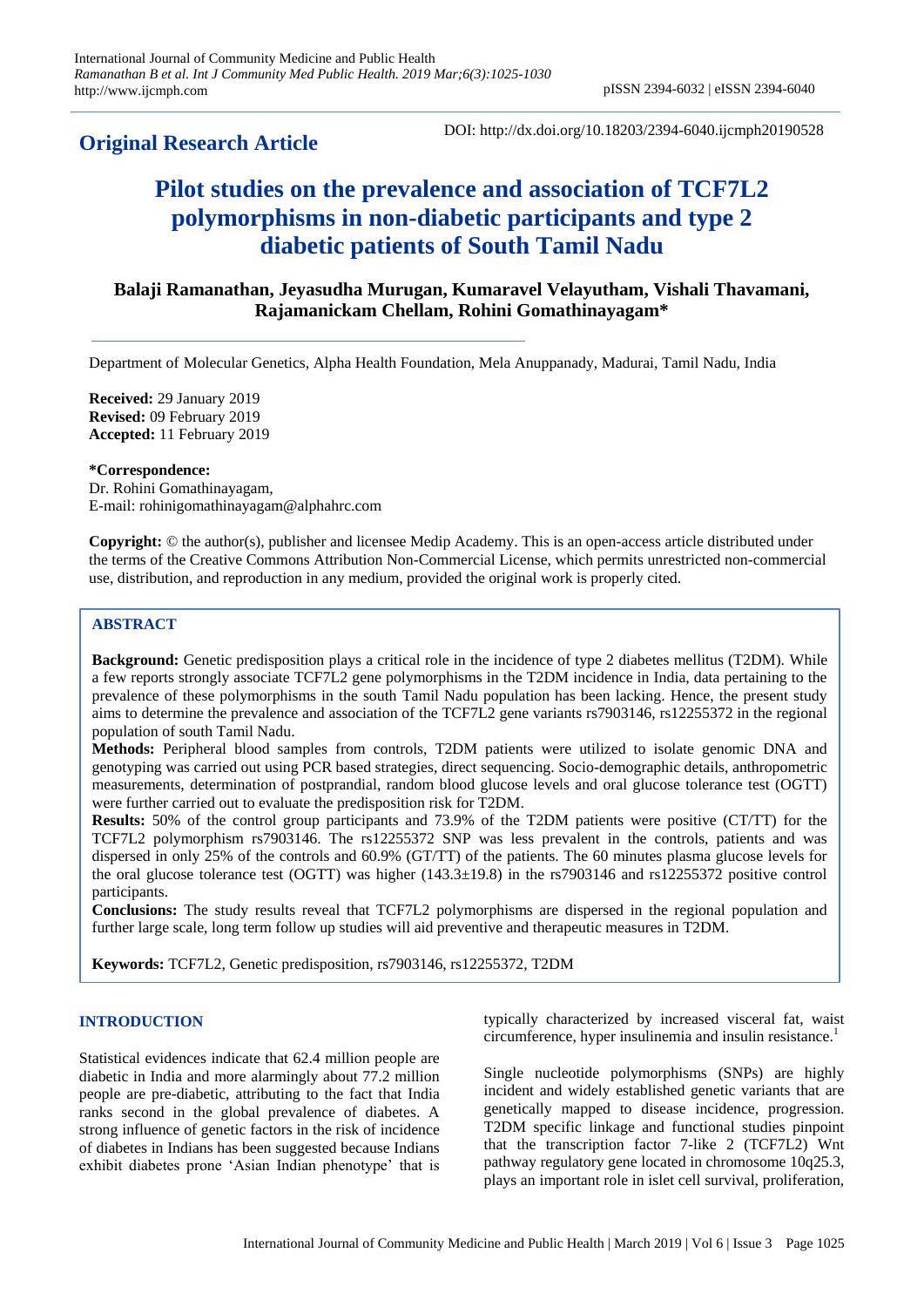# **Original Research Article**

DOI: http://dx.doi.org/10.18203/2394-6040.ijcmph20190528

# **Pilot studies on the prevalence and association of TCF7L2 polymorphisms in non-diabetic participants and type 2 diabetic patients of South Tamil Nadu**

# **Balaji Ramanathan, Jeyasudha Murugan, Kumaravel Velayutham, Vishali Thavamani, Rajamanickam Chellam, Rohini Gomathinayagam\***

Department of Molecular Genetics, Alpha Health Foundation, Mela Anuppanady, Madurai, Tamil Nadu, India

**Received:** 29 January 2019 **Revised:** 09 February 2019 **Accepted:** 11 February 2019

**\*Correspondence:** Dr. Rohini Gomathinayagam, E-mail: rohinigomathinayagam@alphahrc.com

**Copyright:** © the author(s), publisher and licensee Medip Academy. This is an open-access article distributed under the terms of the Creative Commons Attribution Non-Commercial License, which permits unrestricted non-commercial use, distribution, and reproduction in any medium, provided the original work is properly cited.

# **ABSTRACT**

**Background:** Genetic predisposition plays a critical role in the incidence of type 2 diabetes mellitus (T2DM). While a few reports strongly associate TCF7L2 gene polymorphisms in the T2DM incidence in India, data pertaining to the prevalence of these polymorphisms in the south Tamil Nadu population has been lacking. Hence, the present study aims to determine the prevalence and association of the TCF7L2 gene variants rs7903146, rs12255372 in the regional population of south Tamil Nadu.

**Methods:** Peripheral blood samples from controls, T2DM patients were utilized to isolate genomic DNA and genotyping was carried out using PCR based strategies, direct sequencing. Socio-demographic details, anthropometric measurements, determination of postprandial, random blood glucose levels and oral glucose tolerance test (OGTT) were further carried out to evaluate the predisposition risk for T2DM.

**Results:** 50% of the control group participants and 73.9% of the T2DM patients were positive (CT/TT) for the TCF7L2 polymorphism rs7903146. The rs12255372 SNP was less prevalent in the controls, patients and was dispersed in only 25% of the controls and 60.9% (GT/TT) of the patients. The 60 minutes plasma glucose levels for the oral glucose tolerance test (OGTT) was higher (143.3±19.8) in the rs7903146 and rs12255372 positive control participants.

**Conclusions:** The study results reveal that TCF7L2 polymorphisms are dispersed in the regional population and further large scale, long term follow up studies will aid preventive and therapeutic measures in T2DM.

**Keywords:** TCF7L2, Genetic predisposition, rs7903146, rs12255372, T2DM

# **INTRODUCTION**

Statistical evidences indicate that 62.4 million people are diabetic in India and more alarmingly about 77.2 million people are pre-diabetic, attributing to the fact that India ranks second in the global prevalence of diabetes. A strong influence of genetic factors in the risk of incidence of diabetes in Indians has been suggested because Indians exhibit diabetes prone 'Asian Indian phenotype' that is typically characterized by increased visceral fat, waist circumference, hyper insulinemia and insulin resistance.<sup>1</sup>

Single nucleotide polymorphisms (SNPs) are highly incident and widely established genetic variants that are genetically mapped to disease incidence, progression. T2DM specific linkage and functional studies pinpoint that the transcription factor 7-like 2 (TCF7L2) Wnt pathway regulatory gene located in chromosome 10q25.3, plays an important role in islet cell survival, proliferation,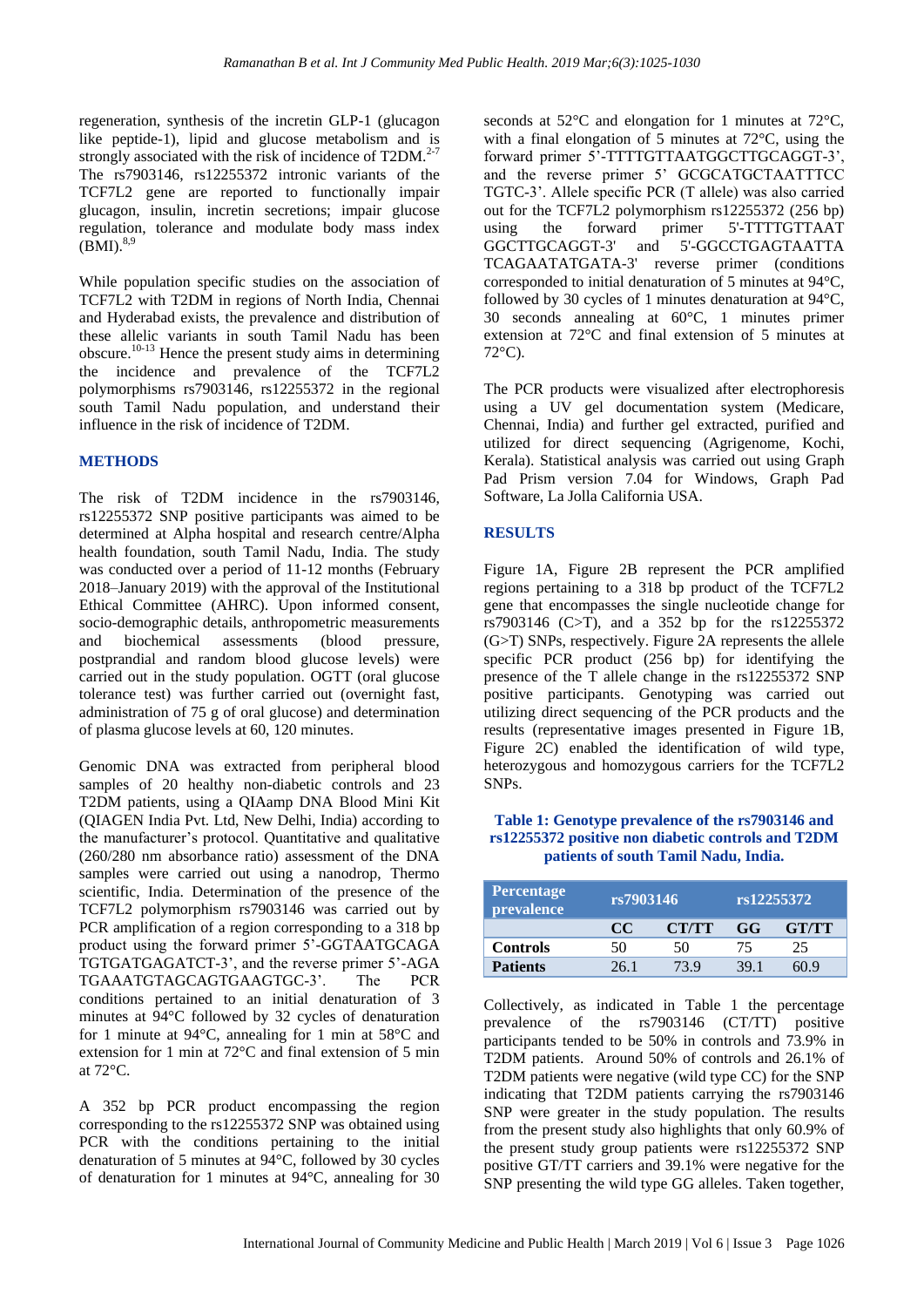regeneration, synthesis of the incretin GLP-1 (glucagon like peptide-1), lipid and glucose metabolism and is strongly associated with the risk of incidence of T2DM. $2-7$ The rs7903146, rs12255372 intronic variants of the TCF7L2 gene are reported to functionally impair glucagon, insulin, incretin secretions; impair glucose regulation, tolerance and modulate body mass index  $(BMI).^{8,9}$ 

While population specific studies on the association of TCF7L2 with T2DM in regions of North India, Chennai and Hyderabad exists, the prevalence and distribution of these allelic variants in south Tamil Nadu has been obscure.10-13 Hence the present study aims in determining the incidence and prevalence of the TCF7L2 polymorphisms rs7903146, rs12255372 in the regional south Tamil Nadu population, and understand their influence in the risk of incidence of T2DM.

# **METHODS**

The risk of T2DM incidence in the rs7903146, rs12255372 SNP positive participants was aimed to be determined at Alpha hospital and research centre/Alpha health foundation, south Tamil Nadu, India. The study was conducted over a period of 11-12 months (February 2018–January 2019) with the approval of the Institutional Ethical Committee (AHRC). Upon informed consent, socio-demographic details, anthropometric measurements and biochemical assessments (blood pressure, postprandial and random blood glucose levels) were carried out in the study population. OGTT (oral glucose tolerance test) was further carried out (overnight fast, administration of 75 g of oral glucose) and determination of plasma glucose levels at 60, 120 minutes.

Genomic DNA was extracted from peripheral blood samples of 20 healthy non-diabetic controls and 23 T2DM patients, using a QIAamp DNA Blood Mini Kit (QIAGEN India Pvt. Ltd, New Delhi, India) according to the manufacturer's protocol. Quantitative and qualitative (260/280 nm absorbance ratio) assessment of the DNA samples were carried out using a nanodrop, Thermo scientific, India. Determination of the presence of the TCF7L2 polymorphism rs7903146 was carried out by PCR amplification of a region corresponding to a 318 bp product using the forward primer 5'-GGTAATGCAGA TGTGATGAGATCT-3', and the reverse primer 5'-AGA TGAAATGTAGCAGTGAAGTGC-3'. The PCR conditions pertained to an initial denaturation of 3 minutes at 94°C followed by 32 cycles of denaturation for 1 minute at 94°C, annealing for 1 min at 58°C and extension for 1 min at 72°C and final extension of 5 min at 72°C.

A 352 bp PCR product encompassing the region corresponding to the rs12255372 SNP was obtained using PCR with the conditions pertaining to the initial denaturation of 5 minutes at 94°C, followed by 30 cycles of denaturation for 1 minutes at 94°C, annealing for 30 seconds at 52°C and elongation for 1 minutes at 72°C, with a final elongation of 5 minutes at 72°C, using the forward primer 5'-TTTTGTTAATGGCTTGCAGGT-3', and the reverse primer 5' GCGCATGCTAATTTCC TGTC-3'. Allele specific PCR (T allele) was also carried out for the TCF7L2 polymorphism rs12255372 (256 bp) using the forward primer 5'-TTTTGTTAAT GGCTTGCAGGT-3' and 5'-GGCCTGAGTAATTA TCAGAATATGATA-3' reverse primer (conditions corresponded to initial denaturation of 5 minutes at 94°C, followed by 30 cycles of 1 minutes denaturation at 94°C, 30 seconds annealing at 60°C, 1 minutes primer extension at 72°C and final extension of 5 minutes at 72°C).

The PCR products were visualized after electrophoresis using a UV gel documentation system (Medicare, Chennai, India) and further gel extracted, purified and utilized for direct sequencing (Agrigenome, Kochi, Kerala). Statistical analysis was carried out using Graph Pad Prism version 7.04 for Windows, Graph Pad Software, La Jolla California USA.

# **RESULTS**

Figure 1A, Figure 2B represent the PCR amplified regions pertaining to a 318 bp product of the TCF7L2 gene that encompasses the single nucleotide change for rs7903146 (C>T), and a 352 bp for the rs12255372 (G>T) SNPs, respectively. Figure 2A represents the allele specific PCR product (256 bp) for identifying the presence of the T allele change in the rs12255372 SNP positive participants. Genotyping was carried out utilizing direct sequencing of the PCR products and the results (representative images presented in Figure 1B, Figure 2C) enabled the identification of wild type, heterozygous and homozygous carriers for the TCF7L2 SNPs.

# **Table 1: Genotype prevalence of the rs7903146 and rs12255372 positive non diabetic controls and T2DM patients of south Tamil Nadu, India.**

| <b>Percentage</b><br>prevalence | rs7903146 |              | rs12255372 |              |  |
|---------------------------------|-----------|--------------|------------|--------------|--|
|                                 | CC.       | <b>CT/TT</b> | GG         | <b>GT/TT</b> |  |
| <b>Controls</b>                 | 50        | 50           | 75         | 25           |  |
| <b>Patients</b>                 | 26.1      | 73.9         | 39 1       | 60 9         |  |

Collectively, as indicated in Table 1 the percentage prevalence of the rs7903146 (CT/TT) positive participants tended to be 50% in controls and 73.9% in T2DM patients. Around 50% of controls and 26.1% of T2DM patients were negative (wild type CC) for the SNP indicating that T2DM patients carrying the rs7903146 SNP were greater in the study population. The results from the present study also highlights that only 60.9% of the present study group patients were rs12255372 SNP positive GT/TT carriers and 39.1% were negative for the SNP presenting the wild type GG alleles. Taken together,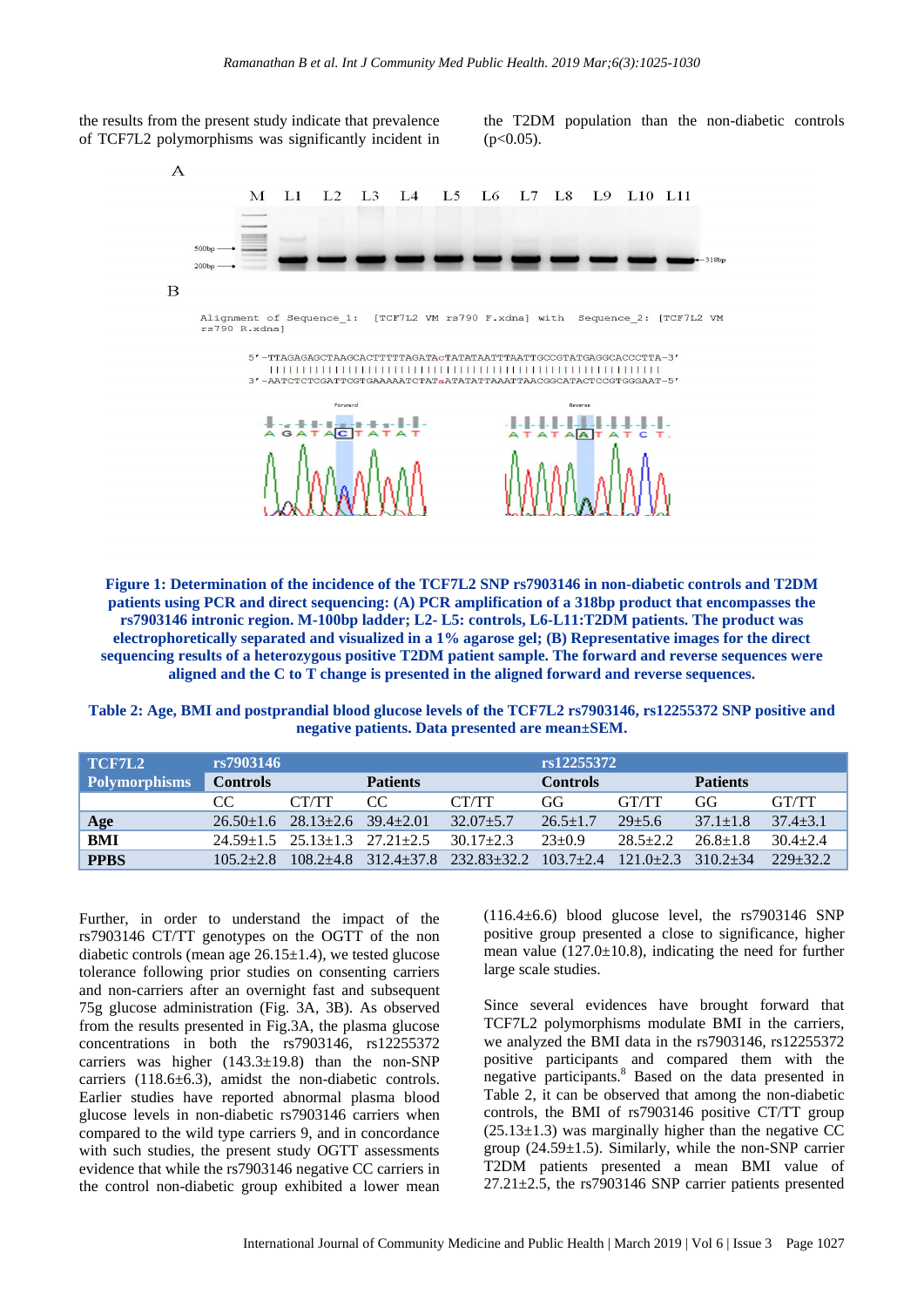

the T2DM population than the non-diabetic controls  $(p<0.05)$ .



**Figure 1: Determination of the incidence of the TCF7L2 SNP rs7903146 in non-diabetic controls and T2DM patients using PCR and direct sequencing: (A) PCR amplification of a 318bp product that encompasses the rs7903146 intronic region. M-100bp ladder; L2- L5: controls, L6-L11:T2DM patients. The product was electrophoretically separated and visualized in a 1% agarose gel; (B) Representative images for the direct sequencing results of a heterozygous positive T2DM patient sample. The forward and reverse sequences were aligned and the C to T change is presented in the aligned forward and reverse sequences.**

**Table 2: Age, BMI and postprandial blood glucose levels of the TCF7L2 rs7903146, rs12255372 SNP positive and negative patients. Data presented are mean±SEM.**

| TCF7L2               | rs7903146       |                                                 |                 |               | rs12255372      |               |                 |              |  |
|----------------------|-----------------|-------------------------------------------------|-----------------|---------------|-----------------|---------------|-----------------|--------------|--|
| <b>Polymorphisms</b> | <b>Controls</b> |                                                 | <b>Patients</b> |               | <b>Controls</b> |               | <b>Patients</b> |              |  |
|                      | CC              | CT/TT                                           | CC.             | CT/TT         | GG              | GT/TT         | GG              | <b>GT/TT</b> |  |
| Age                  |                 | $26.50 \pm 1.6$ $28.13 \pm 2.6$ $39.4 \pm 2.01$ |                 | $32.07 + 5.7$ | $26.5 + 1.7$    | $29 + 5.6$    | $37.1 + 1.8$    | $37.4 + 3.1$ |  |
| <b>BMI</b>           |                 | $24.59+1.5$ $25.13+1.3$ $27.21+2.5$             |                 | $30.17 + 2.3$ | $23+0.9$        | $28.5 + 2.2$  | $26.8 + 1.8$    | $30.4 + 2.4$ |  |
| <b>PPBS</b>          | $105.2 + 2.8$   | $108.2 + 4.8$                                   | $312.4 + 37.8$  | 232.83+32.2   | $103.7 + 2.4$   | $121.0 + 2.3$ | $3102 + 34$     | $229+32.2$   |  |

Further, in order to understand the impact of the rs7903146 CT/TT genotypes on the OGTT of the non diabetic controls (mean age  $26.15\pm1.4$ ), we tested glucose tolerance following prior studies on consenting carriers and non-carriers after an overnight fast and subsequent 75g glucose administration (Fig. 3A, 3B). As observed from the results presented in Fig.3A, the plasma glucose concentrations in both the rs7903146, rs12255372 carriers was higher  $(143.3\pm19.8)$  than the non-SNP carriers (118.6±6.3), amidst the non-diabetic controls. Earlier studies have reported abnormal plasma blood glucose levels in non-diabetic rs7903146 carriers when compared to the wild type carriers 9, and in concordance with such studies, the present study OGTT assessments evidence that while the rs7903146 negative CC carriers in the control non-diabetic group exhibited a lower mean  $(116.4\pm6.6)$  blood glucose level, the rs7903146 SNP positive group presented a close to significance, higher mean value  $(127.0 \pm 10.8)$ , indicating the need for further large scale studies.

Since several evidences have brought forward that TCF7L2 polymorphisms modulate BMI in the carriers, we analyzed the BMI data in the rs7903146, rs12255372 positive participants and compared them with the negative participants.<sup>8</sup> Based on the data presented in Table 2, it can be observed that among the non-diabetic controls, the BMI of rs7903146 positive CT/TT group  $(25.13\pm1.3)$  was marginally higher than the negative CC group  $(24.59\pm1.5)$ . Similarly, while the non-SNP carrier T2DM patients presented a mean BMI value of  $27.21 \pm 2.5$ , the rs7903146 SNP carrier patients presented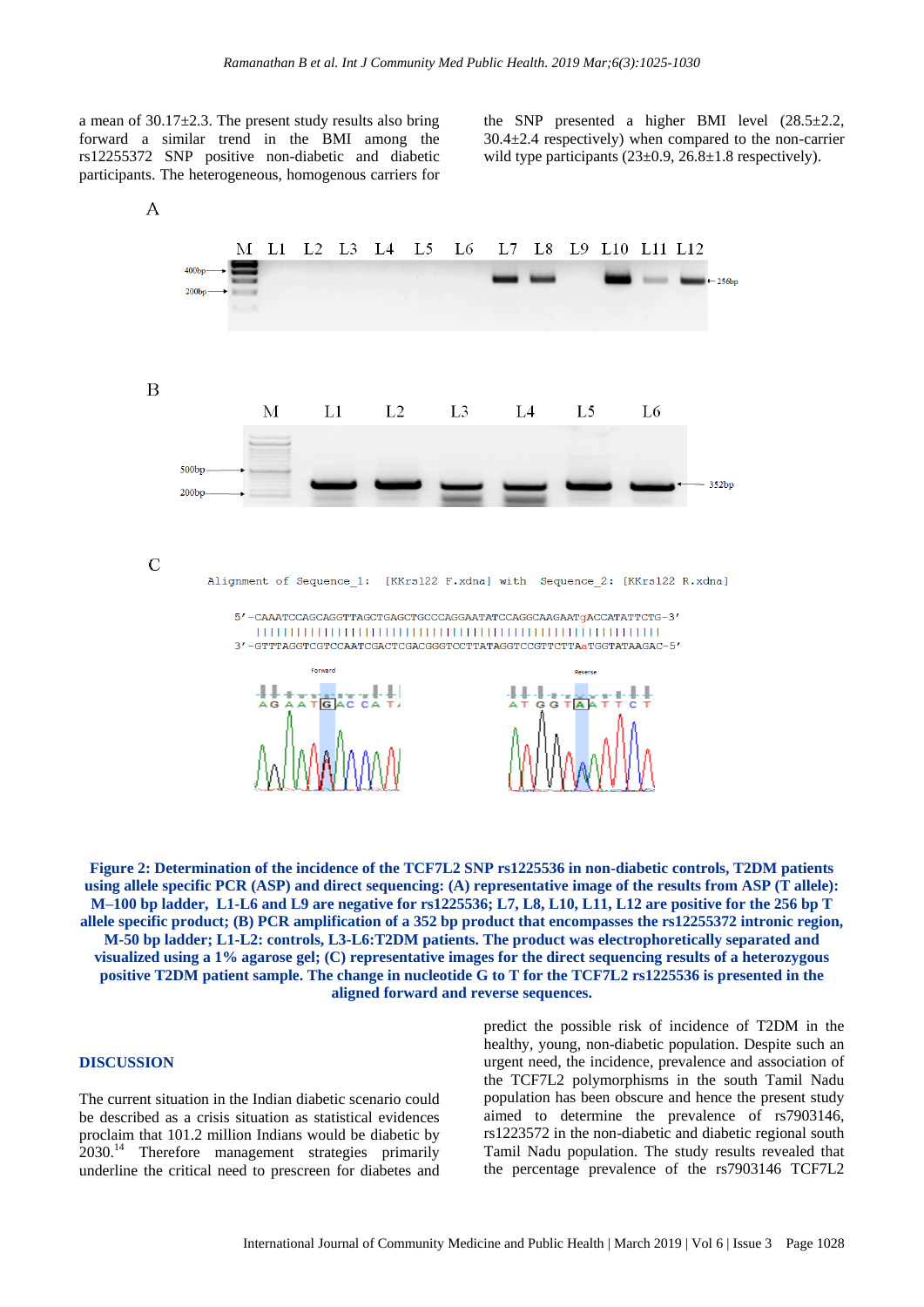a mean of 30.17±2.3. The present study results also bring forward a similar trend in the BMI among the rs12255372 SNP positive non-diabetic and diabetic participants. The heterogeneous, homogenous carriers for the SNP presented a higher BMI level (28.5±2.2,  $30.4\pm2.4$  respectively) when compared to the non-carrier wild type participants  $(23\pm0.9, 26.8\pm1.8$  respectively).



**Figure 2: Determination of the incidence of the TCF7L2 SNP rs1225536 in non-diabetic controls, T2DM patients using allele specific PCR (ASP) and direct sequencing: (A) representative image of the results from ASP (T allele): M–100 bp ladder, L1-L6 and L9 are negative for rs1225536; L7, L8, L10, L11, L12 are positive for the 256 bp T allele specific product; (B) PCR amplification of a 352 bp product that encompasses the rs12255372 intronic region, M-50 bp ladder; L1-L2: controls, L3-L6:T2DM patients. The product was electrophoretically separated and visualized using a 1% agarose gel; (C) representative images for the direct sequencing results of a heterozygous positive T2DM patient sample. The change in nucleotide G to T for the TCF7L2 rs1225536 is presented in the aligned forward and reverse sequences.**

# **DISCUSSION**

The current situation in the Indian diabetic scenario could be described as a crisis situation as statistical evidences proclaim that 101.2 million Indians would be diabetic by 2030.<sup>14</sup> Therefore management strategies primarily underline the critical need to prescreen for diabetes and

predict the possible risk of incidence of T2DM in the healthy, young, non-diabetic population. Despite such an urgent need, the incidence, prevalence and association of the TCF7L2 polymorphisms in the south Tamil Nadu population has been obscure and hence the present study aimed to determine the prevalence of rs7903146, rs1223572 in the non-diabetic and diabetic regional south Tamil Nadu population. The study results revealed that the percentage prevalence of the rs7903146 TCF7L2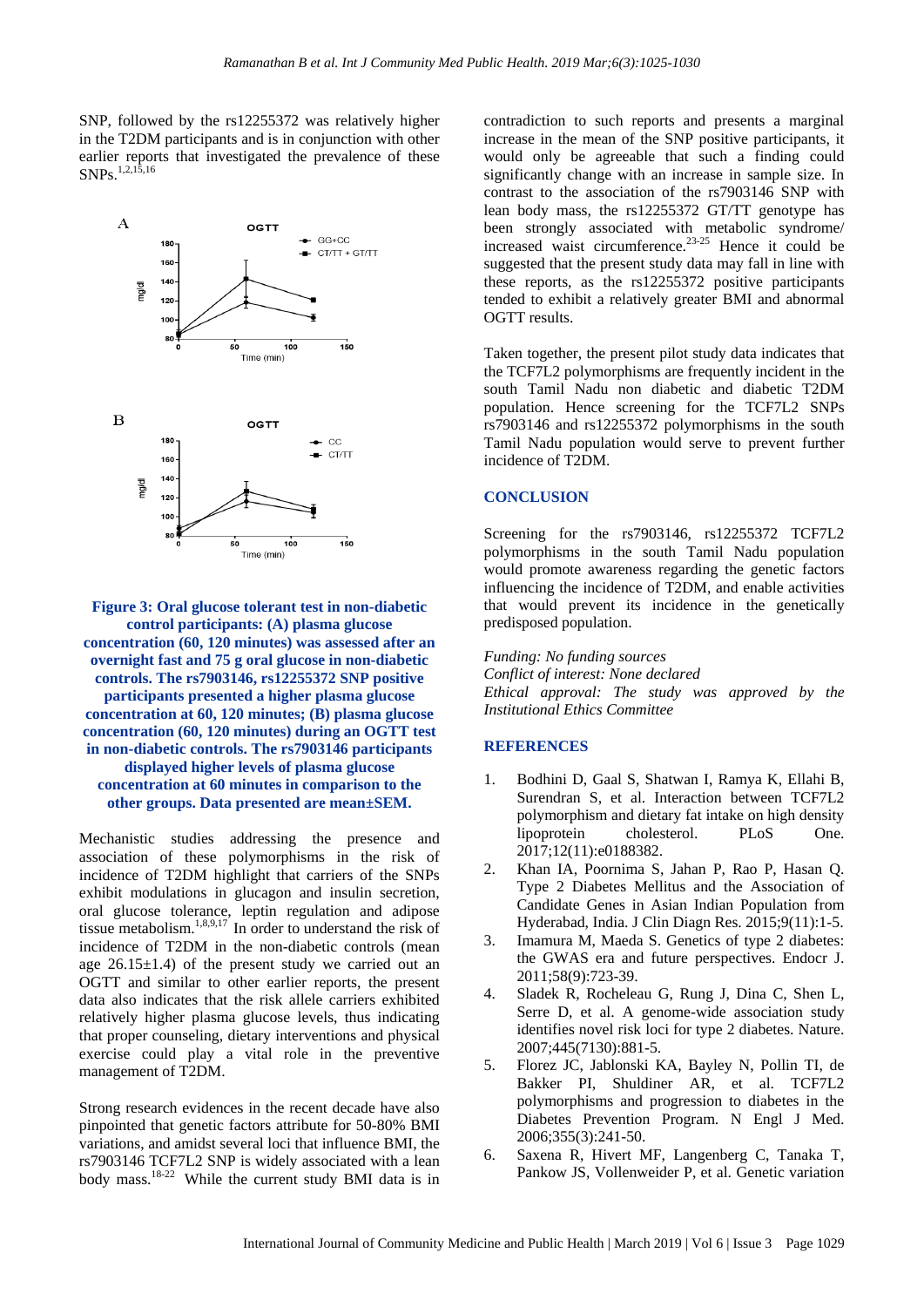SNP, followed by the rs12255372 was relatively higher in the T2DM participants and is in conjunction with other earlier reports that investigated the prevalence of these SNP<sub>s.1,2,15,16</sub>



**Figure 3: Oral glucose tolerant test in non-diabetic control participants: (A) plasma glucose concentration (60, 120 minutes) was assessed after an overnight fast and 75 g oral glucose in non-diabetic controls. The rs7903146, rs12255372 SNP positive participants presented a higher plasma glucose concentration at 60, 120 minutes; (B) plasma glucose concentration (60, 120 minutes) during an OGTT test in non-diabetic controls. The rs7903146 participants displayed higher levels of plasma glucose concentration at 60 minutes in comparison to the other groups. Data presented are mean±SEM.** 

Mechanistic studies addressing the presence and association of these polymorphisms in the risk of incidence of T2DM highlight that carriers of the SNPs exhibit modulations in glucagon and insulin secretion, oral glucose tolerance, leptin regulation and adipose tissue metabolism.1,8,9,17 In order to understand the risk of incidence of T2DM in the non-diabetic controls (mean age  $26.15\pm1.4$ ) of the present study we carried out an OGTT and similar to other earlier reports, the present data also indicates that the risk allele carriers exhibited relatively higher plasma glucose levels, thus indicating that proper counseling, dietary interventions and physical exercise could play a vital role in the preventive management of T2DM.

Strong research evidences in the recent decade have also pinpointed that genetic factors attribute for 50-80% BMI variations, and amidst several loci that influence BMI, the rs7903146 TCF7L2 SNP is widely associated with a lean body mass.18-22 While the current study BMI data is in contradiction to such reports and presents a marginal increase in the mean of the SNP positive participants, it would only be agreeable that such a finding could significantly change with an increase in sample size. In contrast to the association of the rs7903146 SNP with lean body mass, the rs12255372 GT/TT genotype has been strongly associated with metabolic syndrome/ increased waist circumference.23-25 Hence it could be suggested that the present study data may fall in line with these reports, as the rs12255372 positive participants tended to exhibit a relatively greater BMI and abnormal OGTT results.

Taken together, the present pilot study data indicates that the TCF7L2 polymorphisms are frequently incident in the south Tamil Nadu non diabetic and diabetic T2DM population. Hence screening for the TCF7L2 SNPs rs7903146 and rs12255372 polymorphisms in the south Tamil Nadu population would serve to prevent further incidence of T2DM.

#### **CONCLUSION**

Screening for the rs7903146, rs12255372 TCF7L2 polymorphisms in the south Tamil Nadu population would promote awareness regarding the genetic factors influencing the incidence of T2DM, and enable activities that would prevent its incidence in the genetically predisposed population.

*Funding: No funding sources Conflict of interest: None declared Ethical approval: The study was approved by the Institutional Ethics Committee*

# **REFERENCES**

- 1. Bodhini D, Gaal S, Shatwan I, Ramya K, Ellahi B, Surendran S, et al. Interaction between TCF7L2 polymorphism and dietary fat intake on high density lipoprotein cholesterol. PLoS One. 2017;12(11):e0188382.
- 2. Khan IA, Poornima S, Jahan P, Rao P, Hasan Q. Type 2 Diabetes Mellitus and the Association of Candidate Genes in Asian Indian Population from Hyderabad, India. J Clin Diagn Res. 2015;9(11):1-5.
- 3. Imamura M, Maeda S. Genetics of type 2 diabetes: the GWAS era and future perspectives. Endocr J. 2011;58(9):723-39.
- 4. Sladek R, Rocheleau G, Rung J, Dina C, Shen L, Serre D, et al. A genome-wide association study identifies novel risk loci for type 2 diabetes. Nature. 2007;445(7130):881-5.
- 5. Florez JC, Jablonski KA, Bayley N, Pollin TI, de Bakker PI, Shuldiner AR, et al. TCF7L2 polymorphisms and progression to diabetes in the Diabetes Prevention Program. N Engl J Med. 2006;355(3):241-50.
- 6. Saxena R, Hivert MF, Langenberg C, Tanaka T, Pankow JS, Vollenweider P, et al. Genetic variation